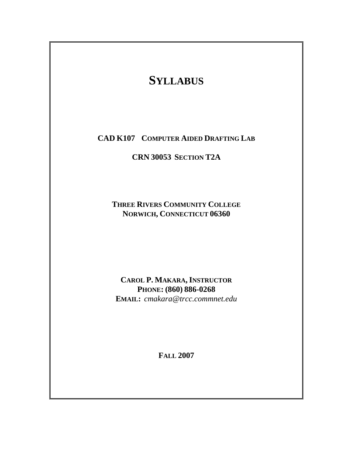# **SYLLABUS**

**CAD K107 COMPUTER AIDED DRAFTING LAB**

**CRN 30053 SECTION T2A** 

**THREE RIVERS COMMUNITY COLLEGE NORWICH, CONNECTICUT 06360** 

**CAROL P. MAKARA, INSTRUCTOR PHONE: (860) 886-0268 EMAIL:** *cmakara@trcc.commnet.edu*

**FALL 2007**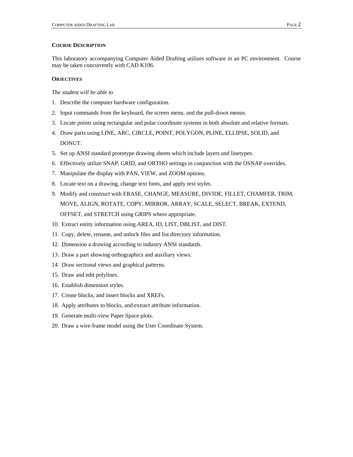#### **COURSE DESCRIPTION**

This laboratory accompanying Computer Aided Drafting utilizes software in an PC environment. Course may be taken concurrently with CAD K106.

## **OBJECTIVES**

#### *The student will be able to*

- 1. Describe the computer hardware configuration.
- 2. Input commands from the keyboard, the screen menu, and the pull-down menus.
- 3. Locate points using rectangular and polar coordinate systems in both absolute and relative formats.
- 4. Draw parts using LINE, ARC, CIRCLE, POINT, POLYGON, PLINE, ELLIPSE, SOLID, and DONUT.
- 5. Set up ANSI standard prototype drawing sheets which include layers and linetypes.
- 6. Effectively utilize SNAP, GRID, and ORTHO settings in conjunction with the OSNAP overrides.
- 7. Manipulate the display with PAN, VIEW, and ZOOM options.
- 8. Locate text on a drawing, change text fonts, and apply text styles.
- 9. Modify and construct with ERASE, CHANGE, MEASURE, DIVIDE, FILLET, CHAMFER, TRIM, MOVE, ALIGN, ROTATE, COPY, MIRROR, ARRAY, SCALE, SELECT, BREAK, EXTEND, OFFSET, and STRETCH using GRIPS where appropriate.
- 10. Extract entity information using AREA, ID, LIST, DBLIST, and DIST.
- 11. Copy, delete, rename, and unlock files and list directory information.
- 12. Dimension a drawing according to industry ANSI standards.
- 13. Draw a part showing orthographics and auxiliary views.
- 14. Draw sectional views and graphical patterns.
- 15. Draw and edit polylines.
- 16. Establish dimension styles.
- 17. Create blocks, and insert blocks and XREFs.
- 18. Apply attributes to blocks, and extract attribute information.
- 19. Generate multi-view Paper Space plots.
- 20. Draw a wire-frame model using the User Coordinate System.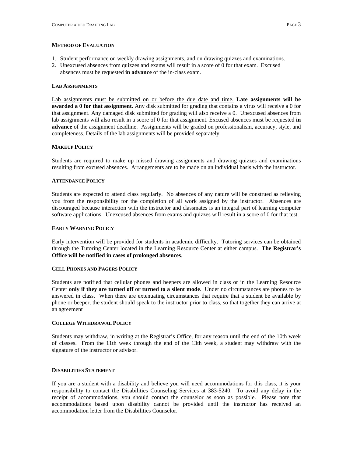### **METHOD OF EVALUATION**

- 1. Student performance on weekly drawing assignments, and on drawing quizzes and examinations.
- 2. Unexcused absences from quizzes and exams will result in a score of 0 for that exam. Excused
- absences must be requested **in advance** of the in-class exam.

# **LAB ASSIGNMENTS**

Lab assignments must be submitted on or before the due date and time. **Late assignments will be awarded a 0 for that assignment.** Any disk submitted for grading that contains a virus will receive a 0 for that assignment. Any damaged disk submitted for grading will also receive a 0. Unexcused absences from lab assignments will also result in a score of 0 for that assignment. Excused absences must be requested **in advance** of the assignment deadline. Assignments will be graded on professionalism, accuracy, style, and completeness. Details of the lab assignments will be provided separately.

# **MAKEUP POLICY**

Students are required to make up missed drawing assignments and drawing quizzes and examinations resulting from excused absences. Arrangements are to be made on an individual basis with the instructor.

## **ATTENDANCE POLICY**

Students are expected to attend class regularly. No absences of any nature will be construed as relieving you from the responsibility for the completion of all work assigned by the instructor. Absences are discouraged because interaction with the instructor and classmates is an integral part of learning computer software applications. Unexcused absences from exams and quizzes will result in a score of 0 for that test.

# **EARLY WARNING POLICY**

Early intervention will be provided for students in academic difficulty. Tutoring services can be obtained through the Tutoring Center located in the Learning Resource Center at either campus. **The Registrar's Office will be notified in cases of prolonged absences**.

## **CELL PHONES AND PAGERS POLICY**

Students are notified that cellular phones and beepers are allowed in class or in the Learning Resource Center **only if they are turned off or turned to a silent mode**. Under no circumstances are phones to be answered in class. When there are extenuating circumstances that require that a student be available by phone or beeper, the student should speak to the instructor prior to class, so that together they can arrive at an agreement

# **COLLEGE WITHDRAWAL POLICY**

Students may withdraw, in writing at the Registrar's Office, for any reason until the end of the 10th week of classes. From the 11th week through the end of the 13th week, a student may withdraw with the signature of the instructor or advisor.

## **DISABILITIES STATEMENT**

If you are a student with a disability and believe you will need accommodations for this class, it is your responsibility to contact the Disabilities Counseling Services at 383-5240. To avoid any delay in the receipt of accommodations, you should contact the counselor as soon as possible. Please note that accommodations based upon disability cannot be provided until the instructor has received an accommodation letter from the Disabilities Counselor.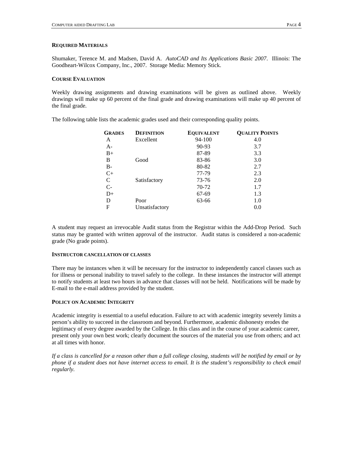#### **REQUIRED MATERIALS**

Shumaker, Terence M. and Madsen, David A. *AutoCAD and Its Applications Basic 2007*. Illinois: The Goodheart-Wilcox Company, Inc., 2007. Storage Media: Memory Stick.

#### **COURSE EVALUATION**

Weekly drawing assignments and drawing examinations will be given as outlined above. Weekly drawings will make up 60 percent of the final grade and drawing examinations will make up 40 percent of the final grade.

The following table lists the academic grades used and their corresponding quality points.

| <b>GRADES</b> | <b>DEFINITION</b> | <b>EQUIVALENT</b> | <b>QUALITY POINTS</b> |
|---------------|-------------------|-------------------|-----------------------|
| A             | Excellent         | $94 - 100$        | 4.0                   |
| $A-$          |                   | 90-93             | 3.7                   |
| $B+$          |                   | 87-89             | 3.3                   |
| В             | Good              | 83-86             | 3.0                   |
| <b>B-</b>     |                   | 80-82             | 2.7                   |
| $C+$          |                   | 77-79             | 2.3                   |
| C             | Satisfactory      | 73-76             | 2.0                   |
| $C-$          |                   | 70-72             | 1.7                   |
| $D+$          |                   | 67-69             | 1.3                   |
| D             | Poor              | 63-66             | 1.0                   |
| F             | Unsatisfactory    |                   | 0.0                   |

A student may request an irrevocable Audit status from the Registrar within the Add-Drop Period. Such status may be granted with written approval of the instructor. Audit status is considered a non-academic grade (No grade points).

## **INSTRUCTOR CANCELLATION OF CLASSES**

There may be instances when it will be necessary for the instructor to independently cancel classes such as for illness or personal inability to travel safely to the college. In these instances the instructor will attempt to notify students at least two hours in advance that classes will not be held. Notifications will be made by E-mail to the e-mail address provided by the student.

## **POLICY ON ACADEMIC INTEGRITY**

Academic integrity is essential to a useful education. Failure to act with academic integrity severely limits a person's ability to succeed in the classroom and beyond. Furthermore, academic dishonesty erodes the legitimacy of every degree awarded by the College. In this class and in the course of your academic career, present only your own best work; clearly document the sources of the material you use from others; and act at all times with honor.

*If a class is cancelled for a reason other than a full college closing, students will be notified by email or by phone if a student does not have internet access to email. It is the student's responsibility to check email regularly.*